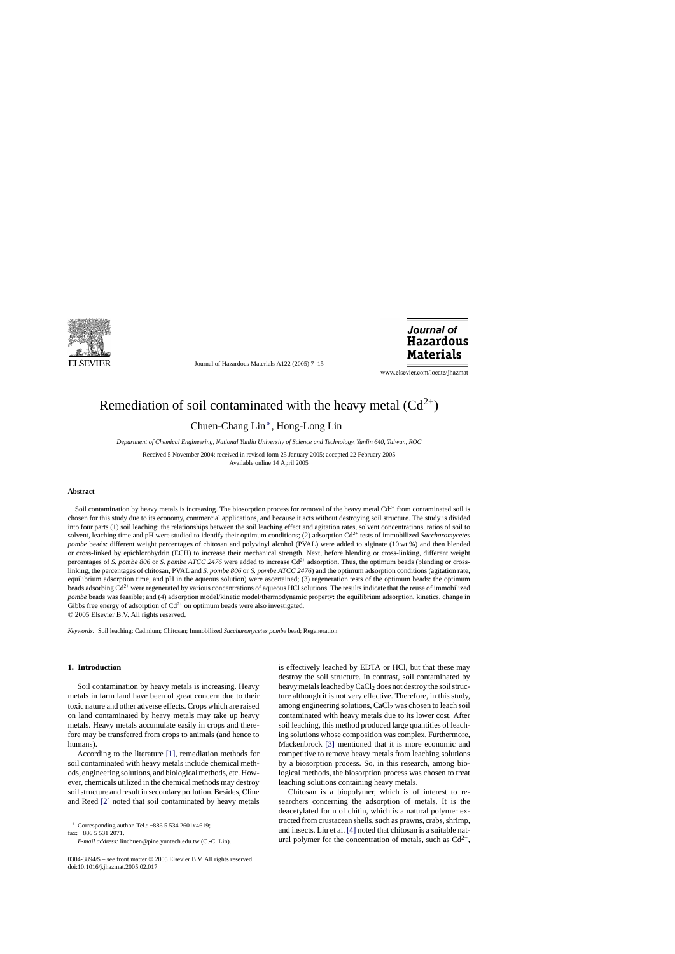

Journal of Hazardous Materials A122 (2005) 7–15

Journal of **Hazardous Materials** 

www.elsevier.com/locate/jhazmat

# Remediation of soil contaminated with the heavy metal  $(Cd^{2+})$

Chuen-Chang Lin ∗, Hong-Long Lin

*Department of Chemical Engineering, National Yunlin University of Science and Technology, Yunlin 640, Taiwan, ROC*

Received 5 November 2004; received in revised form 25 January 2005; accepted 22 February 2005 Available online 14 April 2005

#### **Abstract**

Soil contamination by heavy metals is increasing. The biosorption process for removal of the heavy metal  $Cd^{2+}$  from contaminated soil is chosen for this study due to its economy, commercial applications, and because it acts without destroying soil structure. The study is divided into four parts (1) soil leaching: the relationships between the soil leaching effect and agitation rates, solvent concentrations, ratios of soil to solvent, leaching time and pH were studied to identify their optimum conditions; (2) adsorption Cd2+ tests of immobilized *Saccharomycetes pombe* beads: different weight percentages of chitosan and polyvinyl alcohol (PVAL) were added to alginate (10 wt.%) and then blended or cross-linked by epichlorohydrin (ECH) to increase their mechanical strength. Next, before blending or cross-linking, different weight percentages of *S. pombe 806* or *S. pombe ATCC 2476* were added to increase Cd<sup>2+</sup> adsorption. Thus, the optimum beads (blending or crosslinking, the percentages of chitosan, PVAL and *S. pombe 806* or *S. pombe ATCC 2476*) and the optimum adsorption conditions (agitation rate, equilibrium adsorption time, and pH in the aqueous solution) were ascertained; (3) regeneration tests of the optimum beads: the optimum beads adsorbing Cd<sup>2+</sup> were regenerated by various concentrations of aqueous HCl solutions. The results indicate that the reuse of immobilized *pombe* beads was feasible; and (4) adsorption model/kinetic model/thermodynamic property: the equilibrium adsorption, kinetics, change in Gibbs free energy of adsorption of  $Cd^{2+}$  on optimum beads were also investigated. © 2005 Elsevier B.V. All rights reserved.

*Keywords:* Soil leaching; Cadmium; Chitosan; Immobilized *Saccharomycetes pombe* bead; Regeneration

#### **1. Introduction**

Soil contamination by heavy metals is increasing. Heavy metals in farm land have been of great concern due to their toxic nature and other adverse effects. Crops which are raised on land contaminated by heavy metals may take up heavy metals. Heavy metals accumulate easily in crops and therefore may be transferred from crops to animals (and hence to humans).

According to the literature [\[1\],](#page-7-0) remediation methods for soil contaminated with heavy metals include chemical methods, engineering solutions, and biological methods, etc. However, chemicals utilized in the chemical methods may destroy soil structure and result in secondary pollution. Besides, Cline and Reed [\[2\]](#page-7-0) noted that soil contaminated by heavy metals

fax: +886 5 531 2071.

is effectively leached by EDTA or HCl, but that these may destroy the soil structure. In contrast, soil contaminated by heavy metals leached by CaCl<sub>2</sub> does not destroy the soil structure although it is not very effective. Therefore, in this study, among engineering solutions,  $CaCl<sub>2</sub>$  was chosen to leach soil contaminated with heavy metals due to its lower cost. After soil leaching, this method produced large quantities of leaching solutions whose composition was complex. Furthermore, Mackenbrock [\[3\]](#page-7-0) mentioned that it is more economic and competitive to remove heavy metals from leaching solutions by a biosorption process. So, in this research, among biological methods, the biosorption process was chosen to treat leaching solutions containing heavy metals.

Chitosan is a biopolymer, which is of interest to researchers concerning the adsorption of metals. It is the deacetylated form of chitin, which is a natural polymer extracted from crustacean shells, such as prawns, crabs, shrimp, and insects. Liu et al. [\[4\]](#page-7-0) noted that chitosan is a suitable natural polymer for the concentration of metals, such as  $Cd^{2+}$ ,

<sup>∗</sup> Corresponding author. Tel.: +886 5 534 2601x4619;

*E-mail address:* linchuen@pine.yuntech.edu.tw (C.-C. Lin).

<sup>0304-3894/\$ –</sup> see front matter © 2005 Elsevier B.V. All rights reserved. doi:10.1016/j.jhazmat.2005.02.017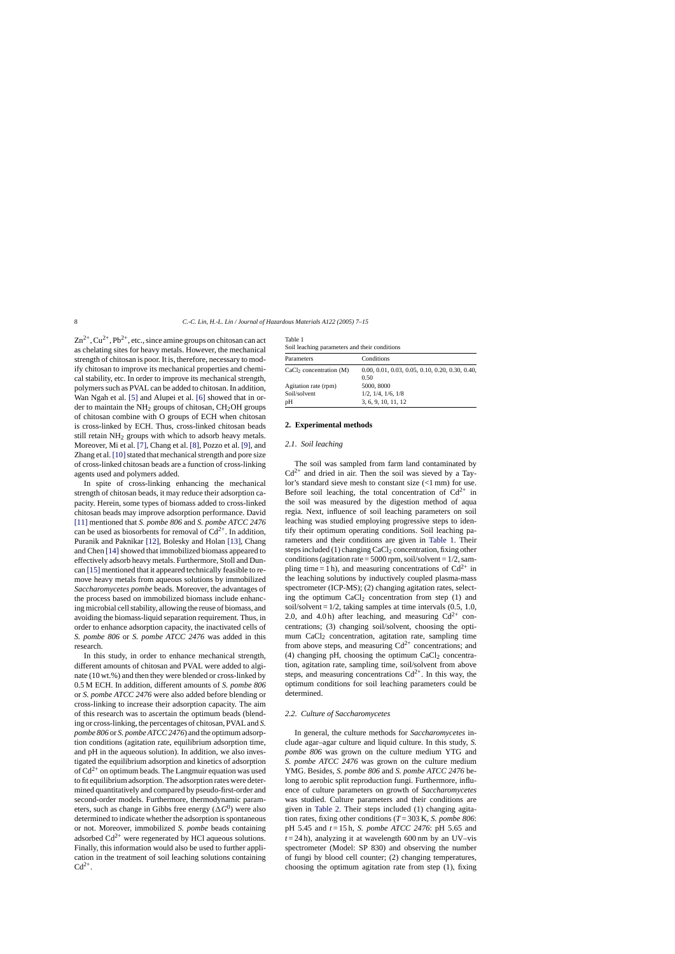$Zn^{2+}$ ,  $Cu^{2+}$ ,  $Pb^{2+}$ , etc., since amine groups on chitosan can act as chelating sites for heavy metals. However, the mechanical strength of chitosan is poor. It is, therefore, necessary to modify chitosan to improve its mechanical properties and chemical stability, etc. In order to improve its mechanical strength, polymers such as PVAL can be added to chitosan. In addition, Wan Ngah et al. [\[5\]](#page-7-0) and Alupei et al. [\[6\]](#page-7-0) showed that in order to maintain the  $NH<sub>2</sub>$  groups of chitosan,  $CH<sub>2</sub>OH$  groups of chitosan combine with O groups of ECH when chitosan is cross-linked by ECH. Thus, cross-linked chitosan beads still retain  $NH<sub>2</sub>$  groups with which to adsorb heavy metals. Moreover, Mi et al. [\[7\], C](#page-7-0)hang et al. [\[8\], P](#page-7-0)ozzo et al. [\[9\], a](#page-7-0)nd Zhang et al. [10] stated that mechanical strength and pore size of cross-linked chitosan beads are a function of cross-linking agents used and polymers added.

In spite of cross-linking enhancing the mechanical strength of chitosan beads, it may reduce their adsorption capacity. Herein, some types of biomass added to cross-linked chitosan beads may improve adsorption performance. David [\[11\]](#page-8-0) mentioned that *S. pombe 806* and *S. pombe ATCC 2476* can be used as biosorbents for removal of  $Cd^{2+}$ . In addition, Puranik and Paknikar [\[12\],](#page-8-0) Bolesky and Holan [\[13\],](#page-8-0) Chang and Chen [14] showed that immobilized biomass appeared to effectively adsorb heavy metals. Furthermore, Stoll and Duncan [\[15\]](#page-8-0) mentioned that it appeared technically feasible to remove heavy metals from aqueous solutions by immobilized *Saccharomycetes pombe* beads. Moreover, the advantages of the process based on immobilized biomass include enhancing microbial cell stability, allowing the reuse of biomass, and avoiding the biomass-liquid separation requirement. Thus, in order to enhance adsorption capacity, the inactivated cells of *S. pombe 806* or *S. pombe ATCC 2476* was added in this research.

In this study, in order to enhance mechanical strength, different amounts of chitosan and PVAL were added to alginate (10 wt.%) and then they were blended or cross-linked by 0.5 M ECH. In addition, different amounts of *S. pombe 806* or *S. pombe ATCC 2476* were also added before blending or cross-linking to increase their adsorption capacity. The aim of this research was to ascertain the optimum beads (blending or cross-linking, the percentages of chitosan, PVAL and *S. pombe 806* or *S. pombe ATCC 2476*) and the optimum adsorption conditions (agitation rate, equilibrium adsorption time, and pH in the aqueous solution). In addition, we also investigated the equilibrium adsorption and kinetics of adsorption of  $Cd^{2+}$  on optimum beads. The Langmuir equation was used to fit equilibrium adsorption. The adsorption rates were determined quantitatively and compared by pseudo-first-order and second-order models. Furthermore, thermodynamic parameters, such as change in Gibbs free energy  $(\Delta G^0)$  were also determined to indicate whether the adsorption is spontaneous or not. Moreover, immobilized *S. pombe* beads containing adsorbed  $Cd^{2+}$  were regenerated by HCl aqueous solutions. Finally, this information would also be used to further application in the treatment of soil leaching solutions containing  $Cd^{2+}$ .

| Table 1                                       |  |
|-----------------------------------------------|--|
| Soil leaching parameters and their conditions |  |

| bon reaching parameters and their conditions |                                                           |  |  |  |
|----------------------------------------------|-----------------------------------------------------------|--|--|--|
| Parameters                                   | Conditions                                                |  |  |  |
| CaCl <sub>2</sub> concentration (M)          | $0.00, 0.01, 0.03, 0.05, 0.10, 0.20, 0.30, 0.40,$<br>0.50 |  |  |  |
| Agitation rate (rpm)                         | 5000, 8000                                                |  |  |  |
| Soil/solvent                                 | $1/2$ , $1/4$ , $1/6$ , $1/8$                             |  |  |  |
| pН                                           | 3, 6, 9, 10, 11, 12                                       |  |  |  |

#### **2. Experimental methods**

#### *2.1. Soil leaching*

The soil was sampled from farm land contaminated by  $Cd^{2+}$  and dried in air. Then the soil was sieved by a Taylor's standard sieve mesh to constant size (<1 mm) for use. Before soil leaching, the total concentration of  $Cd^{2+}$  in the soil was measured by the digestion method of aqua regia. Next, influence of soil leaching parameters on soil leaching was studied employing progressive steps to identify their optimum operating conditions. Soil leaching parameters and their conditions are given in Table 1. Their steps included (1) changing CaCl<sub>2</sub> concentration, fixing other conditions (agitation rate =  $5000$  rpm, soil/solvent =  $1/2$ , sampling time = 1 h), and measuring concentrations of  $Cd^{2+}$  in the leaching solutions by inductively coupled plasma-mass spectrometer (ICP-MS); (2) changing agitation rates, selecting the optimum CaCl<sub>2</sub> concentration from step  $(1)$  and soil/solvent =  $1/2$ , taking samples at time intervals  $(0.5, 1.0, 1.0)$ 2.0, and 4.0 h) after leaching, and measuring  $Cd^{2+}$  concentrations; (3) changing soil/solvent, choosing the optimum CaCl<sub>2</sub> concentration, agitation rate, sampling time from above steps, and measuring  $Cd^{2+}$  concentrations; and (4) changing pH, choosing the optimum  $CaCl<sub>2</sub>$  concentration, agitation rate, sampling time, soil/solvent from above steps, and measuring concentrations  $Cd^{2+}$ . In this way, the optimum conditions for soil leaching parameters could be determined.

#### *2.2. Culture of Saccharomycetes*

In general, the culture methods for *Saccharomycetes* include agar–agar culture and liquid culture. In this study, *S. pombe 806* was grown on the culture medium YTG and *S. pombe ATCC 2476* was grown on the culture medium YMG. Besides, *S. pombe 806* and *S. pombe ATCC 2476* belong to aerobic split reproduction fungi. Furthermore, influence of culture parameters on growth of *Saccharomycetes* was studied. Culture parameters and their conditions are given in [Table 2.](#page-2-0) Their steps included (1) changing agitation rates, fixing other conditions (*T* = 303 K, *S. pombe 806*: pH 5.45 and *t* = 15 h, *S. pombe ATCC 2476*: pH 5.65 and  $t = 24$  h), analyzing it at wavelength 600 nm by an UV–vis spectrometer (Model: SP 830) and observing the number of fungi by blood cell counter; (2) changing temperatures, choosing the optimum agitation rate from step (1), fixing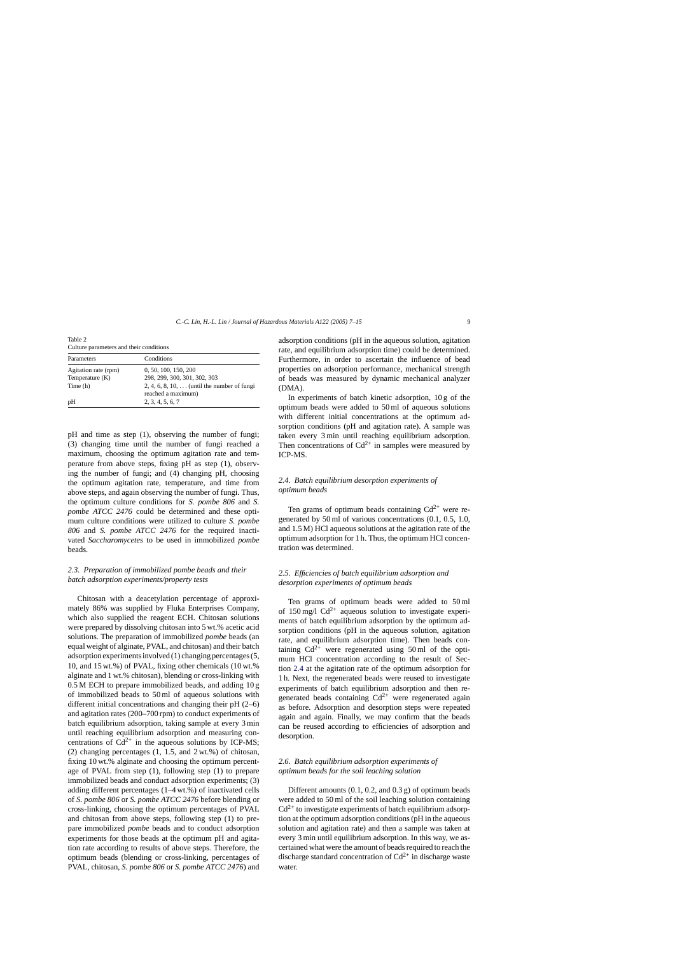<span id="page-2-0"></span>Table 2 Culture parameters and their conditions

| Parameters           | Conditions                                                               |
|----------------------|--------------------------------------------------------------------------|
| Agitation rate (rpm) | 0, 50, 100, 150, 200                                                     |
| Temperature $(K)$    | 298, 299, 300, 301, 302, 303                                             |
| Time (h)             | 2, 4, 6, 8, 10, $\dots$ (until the number of fungi<br>reached a maximum) |
| pH                   | 2, 3, 4, 5, 6, 7                                                         |

pH and time as step (1), observing the number of fungi; (3) changing time until the number of fungi reached a maximum, choosing the optimum agitation rate and temperature from above steps, fixing pH as step (1), observing the number of fungi; and (4) changing pH, choosing the optimum agitation rate, temperature, and time from above steps, and again observing the number of fungi. Thus, the optimum culture conditions for *S. pombe 806* and *S. pombe ATCC 2476* could be determined and these optimum culture conditions were utilized to culture *S. pombe 806* and *S. pombe ATCC 2476* for the required inactivated *Saccharomycetes* to be used in immobilized *pombe* beads.

# *2.3. Preparation of immobilized pombe beads and their batch adsorption experiments/property tests*

Chitosan with a deacetylation percentage of approximately 86% was supplied by Fluka Enterprises Company, which also supplied the reagent ECH. Chitosan solutions were prepared by dissolving chitosan into 5 wt.% acetic acid solutions. The preparation of immobilized *pombe* beads (an equal weight of alginate, PVAL, and chitosan) and their batch adsorption experiments involved (1) changing percentages (5, 10, and 15 wt.%) of PVAL, fixing other chemicals (10 wt.% alginate and 1 wt.% chitosan), blending or cross-linking with 0.5 M ECH to prepare immobilized beads, and adding 10 g of immobilized beads to 50 ml of aqueous solutions with different initial concentrations and changing their pH (2–6) and agitation rates (200–700 rpm) to conduct experiments of batch equilibrium adsorption, taking sample at every 3 min until reaching equilibrium adsorption and measuring concentrations of  $Cd^{2+}$  in the aqueous solutions by ICP-MS; (2) changing percentages (1, 1.5, and 2 wt.%) of chitosan, fixing 10 wt.% alginate and choosing the optimum percentage of PVAL from step (1), following step (1) to prepare immobilized beads and conduct adsorption experiments; (3) adding different percentages (1–4 wt.%) of inactivated cells of *S. pombe 806* or *S. pombe ATCC 2476* before blending or cross-linking, choosing the optimum percentages of PVAL and chitosan from above steps, following step (1) to prepare immobilized *pombe* beads and to conduct adsorption experiments for those beads at the optimum pH and agitation rate according to results of above steps. Therefore, the optimum beads (blending or cross-linking, percentages of PVAL, chitosan, *S. pombe 806* or *S. pombe ATCC 2476*) and

adsorption conditions (pH in the aqueous solution, agitation rate, and equilibrium adsorption time) could be determined. Furthermore, in order to ascertain the influence of bead properties on adsorption performance, mechanical strength of beads was measured by dynamic mechanical analyzer (DMA).

In experiments of batch kinetic adsorption, 10 g of the optimum beads were added to 50 ml of aqueous solutions with different initial concentrations at the optimum adsorption conditions (pH and agitation rate). A sample was taken every 3 min until reaching equilibrium adsorption. Then concentrations of  $Cd^{2+}$  in samples were measured by ICP-MS.

# *2.4. Batch equilibrium desorption experiments of optimum beads*

Ten grams of optimum beads containing  $Cd^{2+}$  were regenerated by 50 ml of various concentrations (0.1, 0.5, 1.0, and 1.5 M) HCl aqueous solutions at the agitation rate of the optimum adsorption for 1 h. Thus, the optimum HCl concentration was determined.

# *2.5. Efficiencies of batch equilibrium adsorption and desorption experiments of optimum beads*

Ten grams of optimum beads were added to 50 ml of  $150 \text{ mg/l}$  Cd<sup>2+</sup> aqueous solution to investigate experiments of batch equilibrium adsorption by the optimum adsorption conditions (pH in the aqueous solution, agitation rate, and equilibrium adsorption time). Then beads containing  $Cd^{2+}$  were regenerated using 50 ml of the optimum HCl concentration according to the result of Section 2.4 at the agitation rate of the optimum adsorption for 1 h. Next, the regenerated beads were reused to investigate experiments of batch equilibrium adsorption and then regenerated beads containing  $Cd^{2+}$  were regenerated again as before. Adsorption and desorption steps were repeated again and again. Finally, we may confirm that the beads can be reused according to efficiencies of adsorption and desorption.

# *2.6. Batch equilibrium adsorption experiments of optimum beads for the soil leaching solution*

Different amounts  $(0.1, 0.2,$  and  $(0.3 g)$  of optimum beads were added to 50 ml of the soil leaching solution containing  $Cd^{2+}$  to investigate experiments of batch equilibrium adsorption at the optimum adsorption conditions (pH in the aqueous solution and agitation rate) and then a sample was taken at every 3 min until equilibrium adsorption. In this way, we ascertained what were the amount of beads required to reach the discharge standard concentration of  $Cd^{2+}$  in discharge waste water.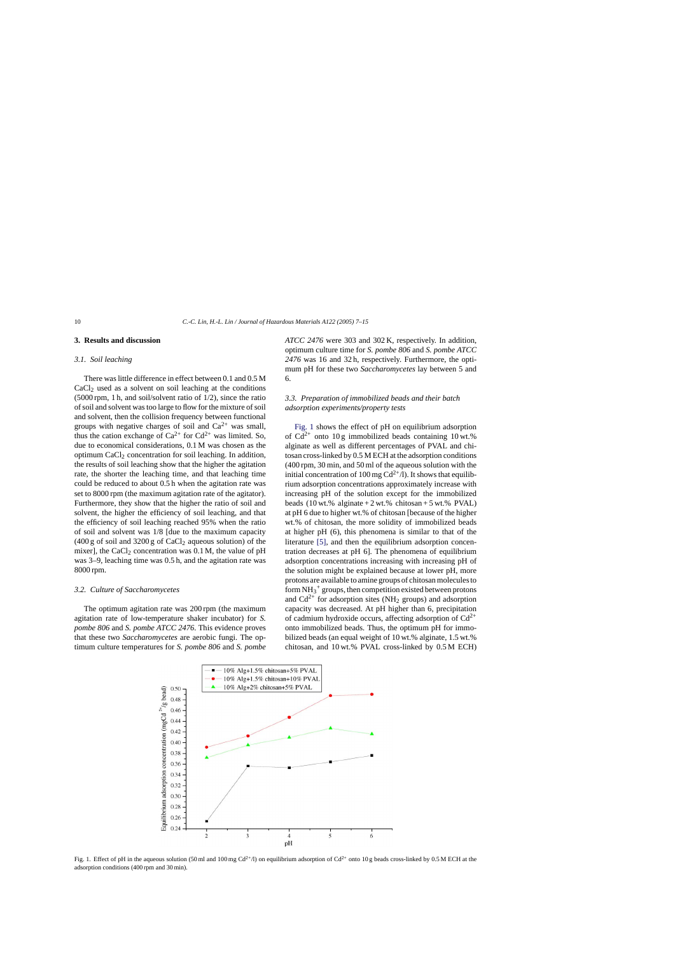### <span id="page-3-0"></span>**3. Results and discussion**

## *3.1. Soil leaching*

There was little difference in effect between 0.1 and 0.5 M  $CaCl<sub>2</sub>$  used as a solvent on soil leaching at the conditions (5000 rpm, 1 h, and soil/solvent ratio of 1/2), since the ratio of soil and solvent was too large to flow for the mixture of soil and solvent, then the collision frequency between functional groups with negative charges of soil and  $Ca^{2+}$  was small, thus the cation exchange of  $Ca^{2+}$  for  $Cd^{2+}$  was limited. So, due to economical considerations, 0.1 M was chosen as the optimum CaCl<sub>2</sub> concentration for soil leaching. In addition, the results of soil leaching show that the higher the agitation rate, the shorter the leaching time, and that leaching time could be reduced to about 0.5 h when the agitation rate was set to 8000 rpm (the maximum agitation rate of the agitator). Furthermore, they show that the higher the ratio of soil and solvent, the higher the efficiency of soil leaching, and that the efficiency of soil leaching reached 95% when the ratio of soil and solvent was 1/8 [due to the maximum capacity  $(400 g \text{ of soil and } 3200 g \text{ of } CaCl<sub>2</sub>$  aqueous solution) of the mixer], the CaCl<sub>2</sub> concentration was  $0.1$  M, the value of pH was 3–9, leaching time was 0.5 h, and the agitation rate was 8000 rpm.

#### *3.2. Culture of Saccharomycetes*

The optimum agitation rate was 200 rpm (the maximum agitation rate of low-temperature shaker incubator) for *S. pombe 806* and *S. pombe ATCC 2476*. This evidence proves that these two *Saccharomycetes* are aerobic fungi. The optimum culture temperatures for *S. pombe 806* and *S. pombe*

*ATCC 2476* were 303 and 302 K, respectively. In addition, optimum culture time for *S. pombe 806* and *S. pombe ATCC 2476* was 16 and 32 h, respectively. Furthermore, the optimum pH for these two *Saccharomycetes* lay between 5 and 6.

# *3.3. Preparation of immobilized beads and their batch adsorption experiments/property tests*

Fig. 1 shows the effect of pH on equilibrium adsorption of  $Cd^{2+}$  onto 10 g immobilized beads containing 10 wt.% alginate as well as different percentages of PVAL and chitosan cross-linked by 0.5 M ECH at the adsorption conditions (400 rpm, 30 min, and 50 ml of the aqueous solution with the initial concentration of 100 mg  $Cd^{2+}/l$ ). It shows that equilibrium adsorption concentrations approximately increase with increasing pH of the solution except for the immobilized beads  $(10 \text{ wt.}\% \text{ alginate} + 2 \text{ wt.}\% \text{ chitosan} + 5 \text{ wt.}\% \text{ PVAL})$ at pH 6 due to higher wt.% of chitosan [because of the higher wt.% of chitosan, the more solidity of immobilized beads at higher pH (6), this phenomena is similar to that of the literature [\[5\],](#page-7-0) and then the equilibrium adsorption concentration decreases at pH 6]. The phenomena of equilibrium adsorption concentrations increasing with increasing pH of the solution might be explained because at lower pH, more protons are available to amine groups of chitosan molecules to form  $NH_3^+$  groups, then competition existed between protons and  $Cd^{2+}$  for adsorption sites (NH<sub>2</sub> groups) and adsorption capacity was decreased. At pH higher than 6, precipitation of cadmium hydroxide occurs, affecting adsorption of  $Cd^{2+}$ onto immobilized beads. Thus, the optimum pH for immobilized beads (an equal weight of 10 wt.% alginate, 1.5 wt.% chitosan, and 10 wt.% PVAL cross-linked by 0.5 M ECH)



Fig. 1. Effect of pH in the aqueous solution (50 ml and 100 mg Cd<sup>2+</sup>/l) on equilibrium adsorption of Cd<sup>2+</sup> onto 10 g beads cross-linked by 0.5 M ECH at the adsorption conditions (400 rpm and 30 min).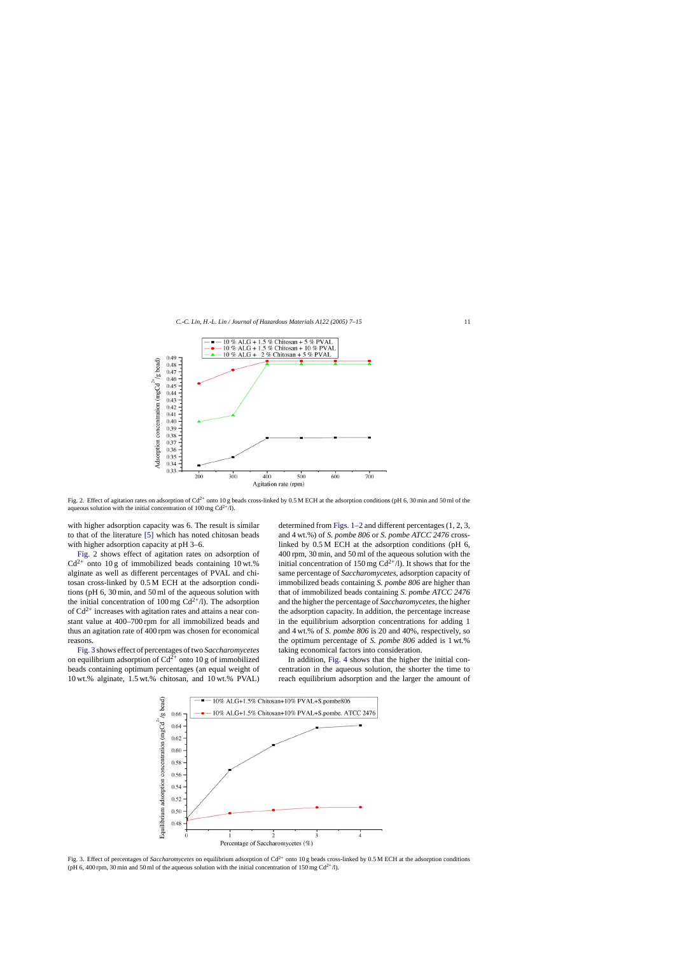

Fig. 2. Effect of agitation rates on adsorption of  $Cd^{2+}$  onto 10 g beads cross-linked by 0.5 M ECH at the adsorption conditions (pH 6, 30 min and 50 ml of the aqueous solution with the initial concentration of 100 mg  $Cd^{2+}/l$ ).

with higher adsorption capacity was 6. The result is similar to that of the literature [\[5\]](#page-7-0) which has noted chitosan beads with higher adsorption capacity at pH 3–6.

Fig. 2 shows effect of agitation rates on adsorption of  $Cd^{2+}$  onto 10 g of immobilized beads containing 10 wt.% alginate as well as different percentages of PVAL and chitosan cross-linked by 0.5 M ECH at the adsorption conditions (pH 6, 30 min, and 50 ml of the aqueous solution with the initial concentration of 100 mg  $Cd^{2+}/l$ ). The adsorption of  $Cd^{2+}$  increases with agitation rates and attains a near constant value at 400–700 rpm for all immobilized beads and thus an agitation rate of 400 rpm was chosen for economical reasons.

Fig. 3 shows effect of percentages of two *Saccharomycetes* on equilibrium adsorption of  $Cd^{2+}$  onto 10 g of immobilized beads containing optimum percentages (an equal weight of 10 wt.% alginate, 1.5 wt.% chitosan, and 10 wt.% PVAL) determined from [Figs. 1–2](#page-3-0) and different percentages (1, 2, 3, and 4 wt.%) of *S. pombe 806* or *S. pombe ATCC 2476* crosslinked by 0.5 M ECH at the adsorption conditions (pH 6, 400 rpm, 30 min, and 50 ml of the aqueous solution with the initial concentration of 150 mg  $Cd^{2+}/l$ ). It shows that for the same percentage of *Saccharomycetes*, adsorption capacity of immobilized beads containing *S. pombe 806* are higher than that of immobilized beads containing *S. pombe ATCC 2476* and the higher the percentage of *Saccharomycetes*, the higher the adsorption capacity. In addition, the percentage increase in the equilibrium adsorption concentrations for adding 1 and 4 wt.% of *S. pombe 806* is 20 and 40%, respectively, so the optimum percentage of *S. pombe 806* added is 1 wt.% taking economical factors into consideration.

In addition, [Fig. 4](#page-5-0) shows that the higher the initial concentration in the aqueous solution, the shorter the time to reach equilibrium adsorption and the larger the amount of



Fig. 3. Effect of percentages of *Saccharomycetes* on equilibrium adsorption of Cd<sup>2+</sup> onto 10 g beads cross-linked by 0.5 M ECH at the adsorption conditions (pH 6, 400 rpm, 30 min and 50 ml of the aqueous solution with the initial concentration of 150 mg  $Cd^{2+}/l$ ).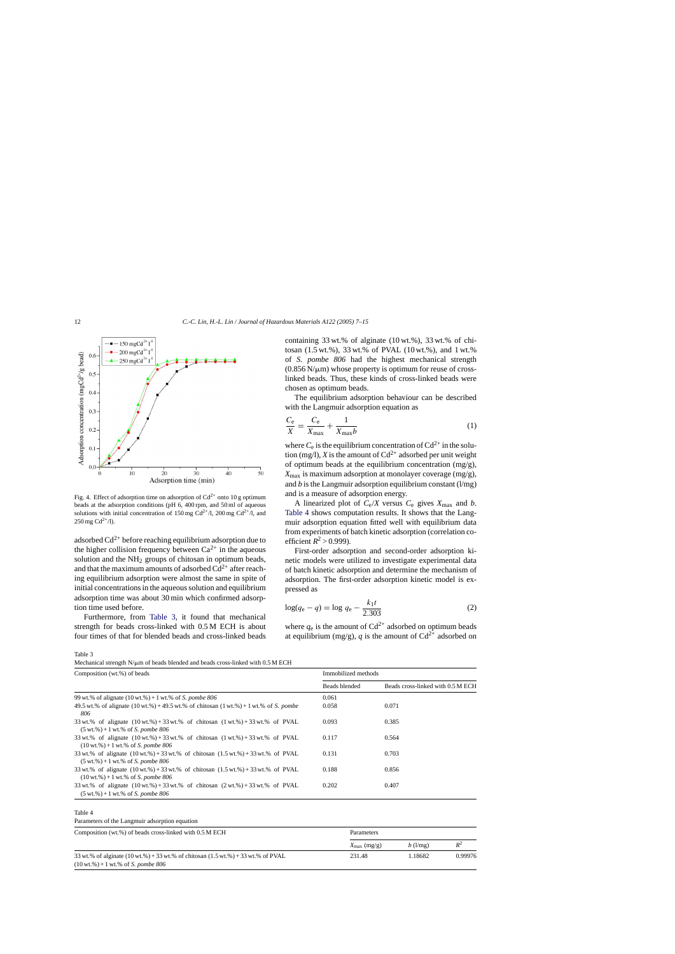<span id="page-5-0"></span>

Fig. 4. Effect of adsorption time on adsorption of  $Cd^{2+}$  onto 10 g optimum beads at the adsorption conditions (pH 6, 400 rpm, and 50 ml of aqueous solutions with initial concentration of 150 mg  $Cd^{2+}/l$ , 200 mg  $Cd^{2+}/l$ , and  $250 \,\text{mg} \, \text{Cd}^{2+}/\text{l}$ ).

adsorbed  $Cd^{2+}$  before reaching equilibrium adsorption due to the higher collision frequency between  $Ca^{2+}$  in the aqueous solution and the  $NH<sub>2</sub>$  groups of chitosan in optimum beads, and that the maximum amounts of adsorbed  $Cd^{2+}$  after reaching equilibrium adsorption were almost the same in spite of initial concentrations in the aqueous solution and equilibrium adsorption time was about 30 min which confirmed adsorption time used before.

Furthermore, from Table 3, it found that mechanical strength for beads cross-linked with 0.5 M ECH is about four times of that for blended beads and cross-linked beads containing 33 wt.% of alginate (10 wt.%), 33 wt.% of chitosan (1.5 wt.%), 33 wt.% of PVAL (10 wt.%), and 1 wt.% of *S. pombe 806* had the highest mechanical strength  $(0.856 \text{ N}/\mu\text{m})$  whose property is optimum for reuse of crosslinked beads. Thus, these kinds of cross-linked beads were chosen as optimum beads.

The equilibrium adsorption behaviour can be described with the Langmuir adsorption equation as

$$
\frac{C_{\rm e}}{X} = \frac{C_{\rm e}}{X_{\rm max}} + \frac{1}{X_{\rm max}b} \tag{1}
$$

where  $C_e$  is the equilibrium concentration of  $Cd^{2+}$  in the solution (mg/l), *X* is the amount of  $Cd^{2+}$  adsorbed per unit weight of optimum beads at the equilibrium concentration  $(mg/g)$ ,  $X_{\text{max}}$  is maximum adsorption at monolayer coverage (mg/g), and  $b$  is the Langmuir adsorption equilibrium constant  $(l/mg)$ and is a measure of adsorption energy.

A linearized plot of  $C_e/X$  versus  $C_e$  gives  $X_{\text{max}}$  and *b*. Table 4 shows computation results. It shows that the Langmuir adsorption equation fitted well with equilibrium data from experiments of batch kinetic adsorption (correlation coefficient  $R^2 > 0.999$ ).

First-order adsorption and second-order adsorption kinetic models were utilized to investigate experimental data of batch kinetic adsorption and determine the mechanism of adsorption. The first-order adsorption kinetic model is expressed as

$$
\log(q_{\rm e} - q) = \log q_{\rm e} - \frac{k_1 t}{2.303} \tag{2}
$$

where  $q_e$  is the amount of  $Cd^{2+}$  adsorbed on optimum beads at equilibrium (mg/g), *q* is the amount of  $Cd^{2+}$  adsorbed on

Table 3

Mechanical strength  $N/\mu$ m of beads blended and beads cross-linked with 0.5 M ECH

| Composition (wt.%) of beads                                                                                                                                                                  | Immobilized methods |                                   |  |
|----------------------------------------------------------------------------------------------------------------------------------------------------------------------------------------------|---------------------|-----------------------------------|--|
|                                                                                                                                                                                              | Beads blended       | Beads cross-linked with 0.5 M ECH |  |
| 99 wt.% of alignate $(10 \text{ wt.}\%) + 1 \text{ wt.}\%$ of S. pombe 806                                                                                                                   | 0.061               |                                   |  |
| 49.5 wt.% of alignate $(10 \text{ wt.}\%) + 49.5 \text{ wt.}\%$ of chitosan $(1 \text{ wt.}\%) + 1 \text{ wt.}\%$ of S. pombe<br>806                                                         | 0.058               | 0.071                             |  |
| 33 wt.% of alignate $(10 \text{ wt.}\%) + 33 \text{ wt.}\%$ of chitosan $(1 \text{ wt.}\%) + 33 \text{ wt.}\%$ of PVAL<br>$(5 \text{ wt.})\% + 1 \text{ wt.}$ % of <i>S. pombe 806</i>       | 0.093               | 0.385                             |  |
| 33 wt.% of alignate $(10 \text{ wt.}\%) + 33 \text{ wt.}\%$ of chitosan $(1 \text{ wt.}\%) + 33 \text{ wt.}\%$ of PVAL<br>$(10 \text{ wt.})\% + 1 \text{ wt.}$ % of <i>S. pombe 806</i>      | 0.117               | 0.564                             |  |
| 33 wt.% of alignate $(10 \text{ wt.}\%) + 33 \text{ wt.}\%$ of chitosan $(1.5 \text{ wt.}\%) + 33 \text{ wt.}\%$ of PVAL<br>$(5 \text{ wt.})\% + 1 \text{ wt.}$ % of S. pombe 806            | 0.131               | 0.703                             |  |
| 33 wt.% of alignate $(10 \text{ wt.}\%) + 33 \text{ wt.}\%$ of chitosan $(1.5 \text{ wt.}\%) + 33 \text{ wt.}\%$ of PVAL<br>$(10 \text{ wt.}\%) + 1 \text{ wt.}\% \text{ of } S$ . pombe 806 | 0.188               | 0.856                             |  |
| 33 wt.% of alignate $(10 \text{ wt.}\%) + 33 \text{ wt.}\%$ of chitosan $(2 \text{ wt.}\%) + 33 \text{ wt.}\%$ of PVAL<br>$(5 \text{ wt.}\%) + 1 \text{ wt.}\% \text{ of } S$ . pombe 806    | 0.202               | 0.407                             |  |

#### Table 4

Parameters of the Langmuir adsorption equation

| Composition (wt.%) of beads cross-linked with 0.5 M ECH                                                                                                                                      | Parameters           |            |         |  |
|----------------------------------------------------------------------------------------------------------------------------------------------------------------------------------------------|----------------------|------------|---------|--|
|                                                                                                                                                                                              | $X_{\rm max}$ (mg/g) | $b$ (l/mg) | $R^2$   |  |
| 33 wt.% of alginate $(10 \text{ wt.}\%) + 33 \text{ wt.}\%$ of chitosan $(1.5 \text{ wt.}\%) + 33 \text{ wt.}\%$ of PVAL<br>$(10 \text{ wt.}\%) + 1 \text{ wt.}\% \text{ of } S$ . pombe 806 | 231.48               | 1.18682    | 0.99976 |  |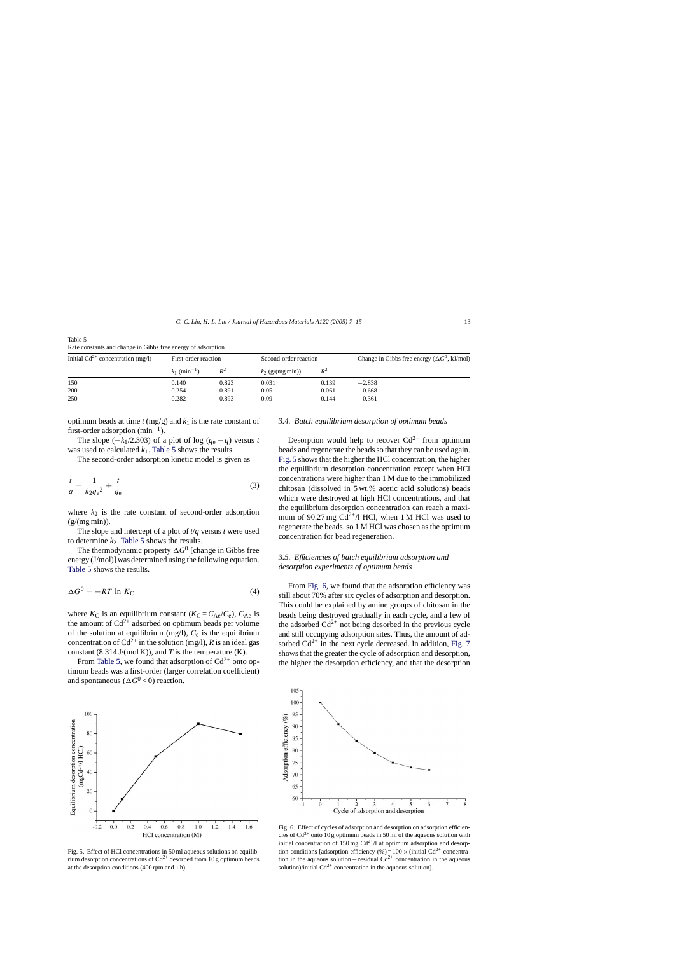| Table 5                                                      |  |
|--------------------------------------------------------------|--|
| Rate constants and change in Gibbs free energy of adsorption |  |

| Initial $Cd^{2+}$ concentration (mg/l) | First-order reaction      |       | Second-order reaction |       | Change in Gibbs free energy ( $\Delta G^0$ , kJ/mol) |
|----------------------------------------|---------------------------|-------|-----------------------|-------|------------------------------------------------------|
|                                        | $k_1$ (min <sup>-1)</sup> | $R^2$ | $k_2$ (g/(mg min))    | $R^2$ |                                                      |
| 150                                    | 0.140                     | 0.823 | 0.031                 | 0.139 | $-2.838$                                             |
| 200                                    | 0.254                     | 0.891 | 0.05                  | 0.061 | $-0.668$                                             |
| 250                                    | 0.282                     | 0.893 | 0.09                  | 0.144 | $-0.361$                                             |

optimum beads at time  $t$  (mg/g) and  $k_1$  is the rate constant of first-order adsorption  $(min^{-1})$ .

The slope  $(-k_1/2.303)$  of a plot of log  $(q_e - q)$  versus *t* was used to calculated  $k_1$ . Table 5 shows the results.

The second-order adsorption kinetic model is given as

$$
\frac{t}{q} = \frac{1}{k_2 q_e^2} + \frac{t}{q_e} \tag{3}
$$

where  $k_2$  is the rate constant of second-order adsorption  $(g/(mg \min))$ .

The slope and intercept of a plot of *t*/*q* versus *t* were used to determine  $k_2$ . Table 5 shows the results.

The thermodynamic property  $\Delta G^0$  [change in Gibbs free energy (J/mol)] was determined using the following equation. Table 5 shows the results.

$$
\Delta G^0 = -RT \ln K_C \tag{4}
$$

where  $K_C$  is an equilibrium constant ( $K_C = C_{Ae}/C_e$ ),  $C_{Ae}$  is the amount of  $Cd^{2+}$  adsorbed on optimum beads per volume of the solution at equilibrium (mg/l), *C*<sup>e</sup> is the equilibrium concentration of  $Cd^{2+}$  in the solution (mg/l), *R* is an ideal gas constant (8.314 J/(mol K)), and *T* is the temperature (K).

From Table 5, we found that adsorption of  $Cd^{2+}$  onto optimum beads was a first-order (larger correlation coefficient) and spontaneous ( $\Delta G^0$  < 0) reaction.



Fig. 5. Effect of HCl concentrations in 50 ml aqueous solutions on equilibrium desorption concentrations of  $Cd^{2+}$  desorbed from 10 g optimum beads at the desorption conditions (400 rpm and 1 h).

#### *3.4. Batch equilibrium desorption of optimum beads*

Desorption would help to recover  $Cd^{2+}$  from optimum beads and regenerate the beads so that they can be used again. Fig. 5 shows that the higher the HCl concentration, the higher the equilibrium desorption concentration except when HCl concentrations were higher than 1 M due to the immobilized chitosan (dissolved in 5 wt.% acetic acid solutions) beads which were destroyed at high HCl concentrations, and that the equilibrium desorption concentration can reach a maximum of 90.27 mg  $Cd^{2+}/I$  HCl, when 1 M HCl was used to regenerate the beads, so 1 M HCl was chosen as the optimum concentration for bead regeneration.

# *3.5. Efficiencies of batch equilibrium adsorption and desorption experiments of optimum beads*

From Fig. 6, we found that the adsorption efficiency was still about 70% after six cycles of adsorption and desorption. This could be explained by amine groups of chitosan in the beads being destroyed gradually in each cycle, and a few of the adsorbed  $Cd^{2+}$  not being desorbed in the previous cycle and still occupying adsorption sites. Thus, the amount of adsorbed  $Cd^{2+}$  in the next cycle decreased. In addition, [Fig. 7](#page-7-0) shows that the greater the cycle of adsorption and desorption, the higher the desorption efficiency, and that the desorption



Fig. 6. Effect of cycles of adsorption and desorption on adsorption efficiencies of  $Cd^{2+}$  onto 10 g optimum beads in 50 ml of the aqueous solution with initial concentration of 150 mg  $Cd^{2+}/l$  at optimum adsorption and desorption conditions [adsorption efficiency  $(\%)=100 \times$  (initial Cd<sup>2+</sup> concentration in the aqueous solution – residual  $Cd^{2+}$  concentration in the aqueous solution)/initial  $Cd^{2+}$  concentration in the aqueous solution].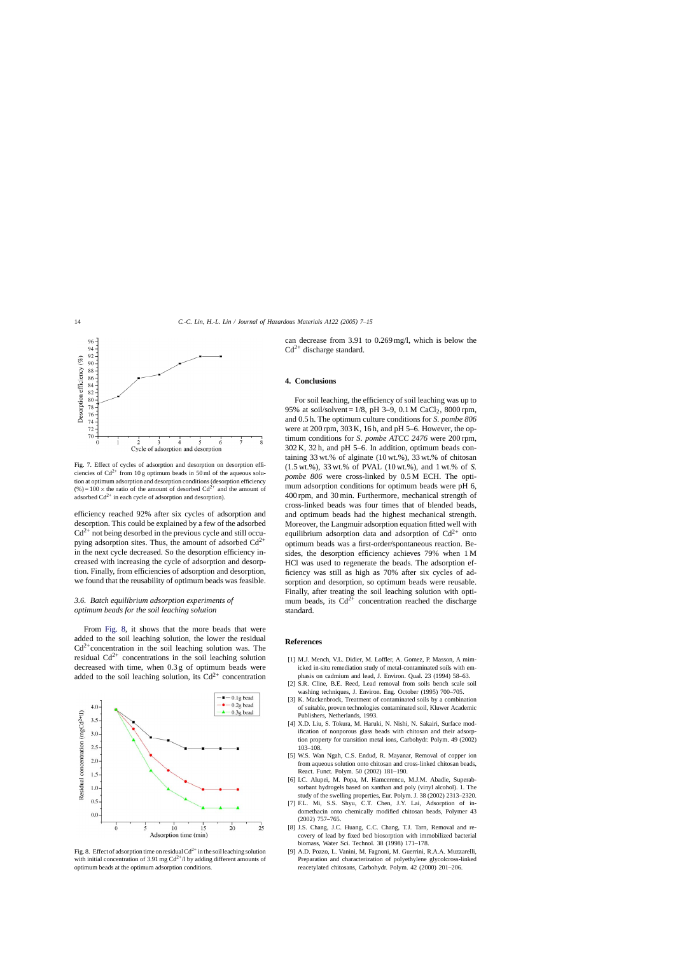<span id="page-7-0"></span>

Fig. 7. Effect of cycles of adsorption and desorption on desorption efficiencies of  $Cd^{2+}$  from 10 g optimum beads in 50 ml of the aqueous solution at optimum adsorption and desorption conditions (desorption efficiency  $(\%) = 100 \times$  the ratio of the amount of desorbed Cd<sup>2+</sup> and the amount of adsorbed  $Cd^{2+}$  in each cycle of adsorption and desorption).

efficiency reached 92% after six cycles of adsorption and desorption. This could be explained by a few of the adsorbed  $Cd^{2+}$  not being desorbed in the previous cycle and still occupying adsorption sites. Thus, the amount of adsorbed  $Cd^{2+}$ in the next cycle decreased. So the desorption efficiency increased with increasing the cycle of adsorption and desorption. Finally, from efficiencies of adsorption and desorption, we found that the reusability of optimum beads was feasible.

# *3.6. Batch equilibrium adsorption experiments of optimum beads for the soil leaching solution*

From Fig. 8, it shows that the more beads that were added to the soil leaching solution, the lower the residual  $Cd^{2+}$ concentration in the soil leaching solution was. The residual  $Cd^{2+}$  concentrations in the soil leaching solution decreased with time, when 0.3 g of optimum beads were added to the soil leaching solution, its  $Cd^{2+}$  concentration



Fig. 8. Effect of adsorption time on residual  $Cd^{2+}$  in the soil leaching solution with initial concentration of 3.91 mg  $Cd^{2+}/l$  by adding different amounts of optimum beads at the optimum adsorption conditions.

can decrease from 3.91 to 0.269 mg/l, which is below the  $Cd^{2+}$  discharge standard.

#### **4. Conclusions**

For soil leaching, the efficiency of soil leaching was up to 95% at soil/solvent =  $1/8$ , pH 3–9, 0.1 M CaCl<sub>2</sub>, 8000 rpm, and 0.5 h. The optimum culture conditions for *S. pombe 806* were at 200 rpm, 303 K, 16 h, and pH 5–6. However, the optimum conditions for *S. pombe ATCC 2476* were 200 rpm, 302 K, 32 h, and pH 5–6. In addition, optimum beads containing 33 wt.% of alginate (10 wt.%), 33 wt.% of chitosan (1.5 wt.%), 33 wt.% of PVAL (10 wt.%), and 1 wt.% of *S. pombe 806* were cross-linked by 0.5 M ECH. The optimum adsorption conditions for optimum beads were pH 6, 400 rpm, and 30 min. Furthermore, mechanical strength of cross-linked beads was four times that of blended beads, and optimum beads had the highest mechanical strength. Moreover, the Langmuir adsorption equation fitted well with equilibrium adsorption data and adsorption of  $Cd^{2+}$  onto optimum beads was a first-order/spontaneous reaction. Besides, the desorption efficiency achieves 79% when 1 M HCl was used to regenerate the beads. The adsorption efficiency was still as high as 70% after six cycles of adsorption and desorption, so optimum beads were reusable. Finally, after treating the soil leaching solution with optimum beads, its  $Cd^{2+}$  concentration reached the discharge standard.

## **References**

- [1] M.J. Mench, V.L. Didier, M. Loffler, A. Gomez, P. Masson, A mimicked in-situ remediation study of metal-contaminated soils with emphasis on cadmium and lead, J. Environ. Qual. 23 (1994) 58–63.
- [2] S.R. Cline, B.E. Reed, Lead removal from soils bench scale soil washing techniques, J. Environ. Eng. October (1995) 700–705.
- [3] K. Mackenbrock, Treatment of contaminated soils by a combination of suitable, proven technologies contaminated soil, Kluwer Academic Publishers, Netherlands, 1993.
- [4] X.D. Liu, S. Tokura, M. Haruki, N. Nishi, N. Sakairi, Surface modification of nonporous glass beads with chitosan and their adsorption property for transition metal ions, Carbohydr. Polym. 49 (2002) 103–108.
- [5] W.S. Wan Ngah, C.S. Endud, R. Mayanar, Removal of copper ion from aqueous solution onto chitosan and cross-linked chitosan beads, React. Funct. Polym. 50 (2002) 181–190.
- [6] I.C. Alupei, M. Popa, M. Hamcerencu, M.J.M. Abadie, Superabsorbant hydrogels based on xanthan and poly (vinyl alcohol). 1. The study of the swelling properties, Eur. Polym. J. 38 (2002) 2313–2320.
- [7] F.L. Mi, S.S. Shyu, C.T. Chen, J.Y. Lai, Adsorption of indomethacin onto chemically modified chitosan beads, Polymer 43 (2002) 757–765.
- [8] J.S. Chang, J.C. Huang, C.C. Chang, T.J. Tarn, Removal and recovery of lead by fixed bed biosorption with immobilized bacterial biomass, Water Sci. Technol. 38 (1998) 171–178.
- [9] A.D. Pozzo, L. Vanini, M. Fagnoni, M. Guerrini, R.A.A. Muzzarelli, Preparation and characterization of polyethylene glycolcross-linked reacetylated chitosans, Carbohydr. Polym. 42 (2000) 201–206.